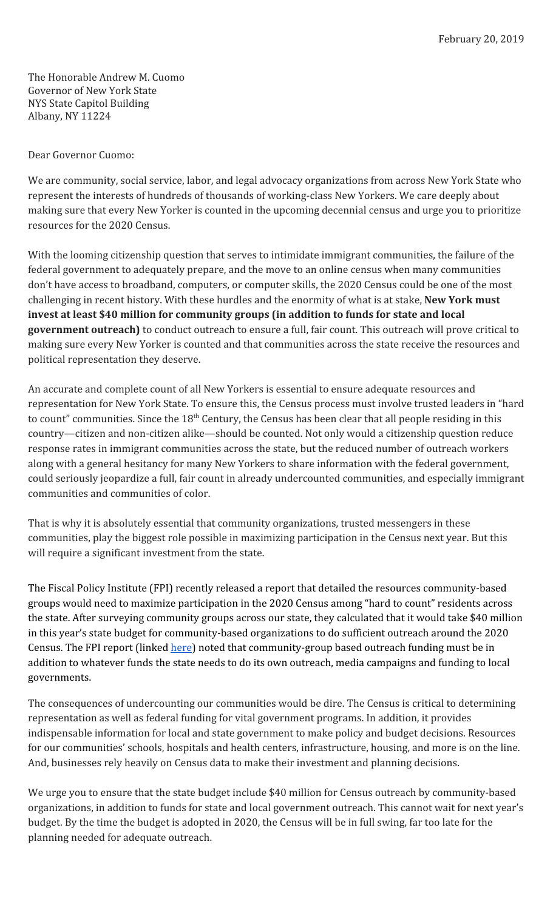The Honorable Andrew M. Cuomo Governor of New York State NYS State Capitol Building Albany, NY 11224

Dear Governor Cuomo:

We are community, social service, labor, and legal advocacy organizations from across New York State who represent the interests of hundreds of thousands of working-class New Yorkers. We care deeply about making sure that every New Yorker is counted in the upcoming decennial census and urge you to prioritize resources for the 2020 Census.

With the looming citizenship question that serves to intimidate immigrant communities, the failure of the federal government to adequately prepare, and the move to an online census when many communities don't have access to broadband, computers, or computer skills, the 2020 Census could be one of the most challenging in recent history. With these hurdles and the enormity of what is at stake, **New York must invest at least \$40 million for community groups (in addition to funds for state and local government outreach)** to conduct outreach to ensure a full, fair count. This outreach will prove critical to making sure every New Yorker is counted and that communities across the state receive the resources and political representation they deserve.

An accurate and complete count of all New Yorkers is essential to ensure adequate resources and representation for New York State. To ensure this, the Census process must involve trusted leaders in "hard to count" communities. Since the  $18<sup>th</sup>$  Century, the Census has been clear that all people residing in this country—citizen and non-citizen alike—should be counted. Not only would a citizenship question reduce response rates in immigrant communities across the state, but the reduced number of outreach workers along with a general hesitancy for many New Yorkers to share information with the federal government, could seriously jeopardize a full, fair count in already undercounted communities, and especially immigrant communities and communities of color.

That is why it is absolutely essential that community organizations, trusted messengers in these communities, play the biggest role possible in maximizing participation in the Census next year. But this will require a significant investment from the state.

The Fiscal Policy Institute (FPI) recently released a report that detailed the resources community-based groups would need to maximize participation in the 2020 Census among "hard to count" residents across the state. After surveying community groups across our state, they calculated that it would take \$40 million in this year's state budget for community-based organizations to do sufficient outreach around the 2020 Census. The FPI report (linked *[here](http://fiscalpolicy.org/census-2020-nys-should-invest-40-million-to-fund-community-outreach)*) noted that community-group based outreach funding must be in addition to whatever funds the state needs to do its own outreach, media campaigns and funding to local governments.

The consequences of undercounting our communities would be dire. The Census is critical to determining representation as well as federal funding for vital government programs. In addition, it provides indispensable information for local and state government to make policy and budget decisions. Resources for our communities' schools, hospitals and health centers, infrastructure, housing, and more is on the line. And, businesses rely heavily on Census data to make their investment and planning decisions.

We urge you to ensure that the state budget include \$40 million for Census outreach by community-based organizations, in addition to funds for state and local government outreach. This cannot wait for next year's budget. By the time the budget is adopted in 2020, the Census will be in full swing, far too late for the planning needed for adequate outreach.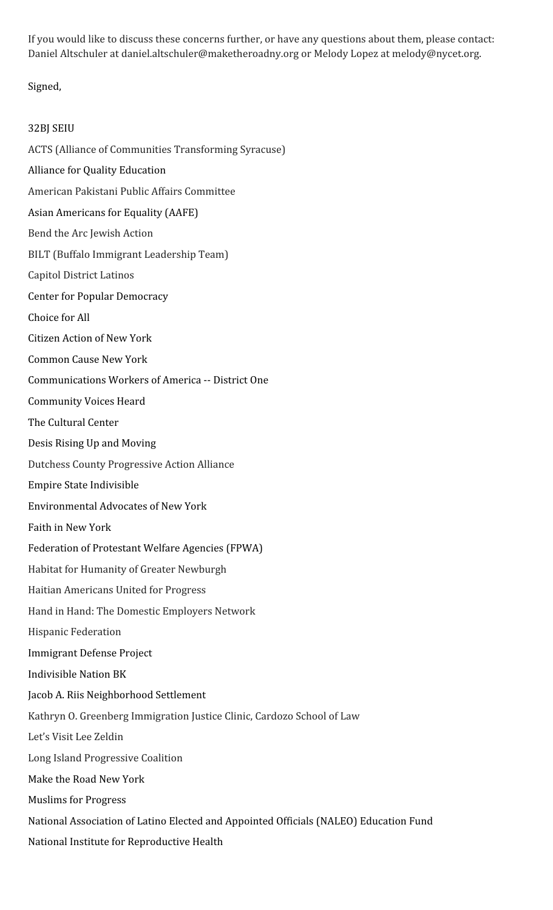If you would like to discuss these concerns further, or have any questions about them, please contact: Daniel Altschuler at daniel.altschuler@maketheroadny.org or Melody Lopez at melody@nycet.org.

## Signed,

## 32BJ SEIU

ACTS (Alliance of Communities Transforming Syracuse)

- Alliance for Quality Education
- American Pakistani Public Affairs Committee
- Asian Americans for Equality (AAFE)
- Bend the Arc Jewish Action
- BILT (Buffalo Immigrant Leadership Team)
- Capitol District Latinos
- Center for Popular Democracy
- Choice for All
- Citizen Action of New York
- Common Cause New York
- Communications Workers of America -- District One
- Community Voices Heard
- The Cultural Center
- Desis Rising Up and Moving
- Dutchess County Progressive Action Alliance
- Empire State Indivisible
- Environmental Advocates of New York
- Faith in New York
- Federation of Protestant Welfare Agencies (FPWA)
- Habitat for Humanity of Greater Newburgh
- Haitian Americans United for Progress
- Hand in Hand: The Domestic Employers Network
- Hispanic Federation
- Immigrant Defense Project
- Indivisible Nation BK
- Jacob A. Riis Neighborhood Settlement
- Kathryn O. Greenberg Immigration Justice Clinic, Cardozo School of Law
- Let's Visit Lee Zeldin
- Long Island Progressive Coalition
- Make the Road New York
- Muslims for Progress
- National Association of Latino Elected and Appointed Officials (NALEO) Education Fund
- National Institute for Reproductive Health